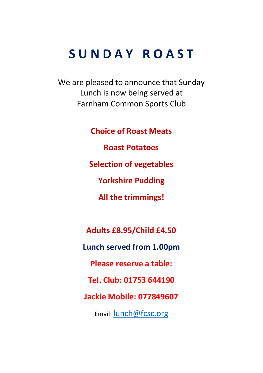## **S U N D A Y R O A S T**

We are pleased to announce that Sunday Lunch is now being served at Farnham Common Sports Club

> **Choice of Roast Meats Roast Potatoes Selection of vegetables Yorkshire Pudding All the trimmings!**

**Adults £8.95/Child £4.50 Lunch served from 1.00pm Please reserve a table: Tel. Club: 01753 644190 Jackie Mobile: 077849607** Email: [lunch@fcsc.org](mailto:lunch@fcsc.org)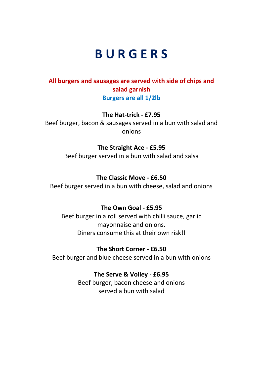## **B U R G E R S**

### **All burgers and sausages are served with side of chips and salad garnish Burgers are all 1/2lb**

#### **The Hat-trick - £7.95**

Beef burger, bacon & sausages served in a bun with salad and onions

#### **The Straight Ace - £5.95**

Beef burger served in a bun with salad and salsa

#### **The Classic Move - £6.50**

Beef burger served in a bun with cheese, salad and onions

#### **The Own Goal - £5.95**

Beef burger in a roll served with chilli sauce, garlic mayonnaise and onions. Diners consume this at their own risk!!

#### **The Short Corner - £6.50**

Beef burger and blue cheese served in a bun with onions

#### **The Serve & Volley - £6.95**

Beef burger, bacon cheese and onions served a bun with salad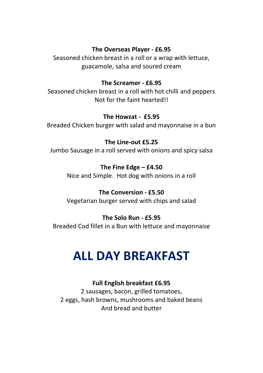#### **The Overseas Player - £6.95**

Seasoned chicken breast in a roll or a wrap with lettuce, guacamole, salsa and soured cream

#### **The Screamer - £6.95**

Seasoned chicken breast in a roll with hot chilli and peppers Not for the faint hearted!!

#### **The Howzat - £5.95**

Breaded Chicken burger with salad and mayonnaise in a bun

#### **The Line-out £5.25**

Jumbo Sausage in a roll served with onions and spicy salsa

**The Fine Edge – £4.50** Nice and Simple. Hot dog with onions in a roll

#### **The Conversion - £5.50** Vegetarian burger served with chips and salad

### **The Solo Run - £5.95**

Breaded Cod fillet in a Bun with lettuce and mayonnaise

## **ALL DAY BREAKFAST**

#### **Full English breakfast £6.95**

2 sausages, bacon, grilled tomatoes, 2 eggs, hash browns, mushrooms and baked beans And bread and butter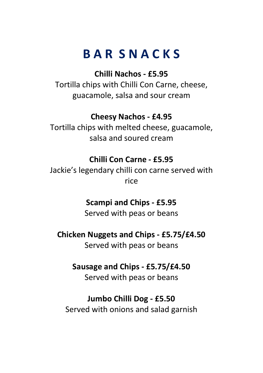## **B A R S N A C K S**

## **Chilli Nachos - £5.95**

Tortilla chips with Chilli Con Carne, cheese, guacamole, salsa and sour cream

## **Cheesy Nachos - £4.95**

Tortilla chips with melted cheese, guacamole, salsa and soured cream

## **Chilli Con Carne - £5.95**

Jackie's legendary chilli con carne served with rice

## **Scampi and Chips - £5.95**

Served with peas or beans

## **Chicken Nuggets and Chips - £5.75/£4.50**

Served with peas or beans

## **Sausage and Chips - £5.75/£4.50**

Served with peas or beans

## **Jumbo Chilli Dog - £5.50**

Served with onions and salad garnish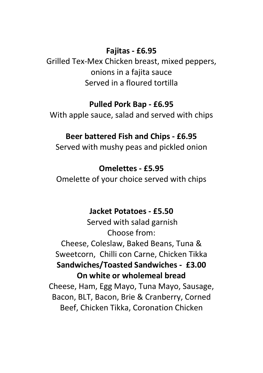## **Fajitas - £6.95**

Grilled Tex-Mex Chicken breast, mixed peppers, onions in a fajita sauce Served in a floured tortilla

### **Pulled Pork Bap - £6.95**

With apple sauce, salad and served with chips

## **Beer battered Fish and Chips - £6.95**

Served with mushy peas and pickled onion

## **Omelettes - £5.95**

Omelette of your choice served with chips

## **Jacket Potatoes - £5.50**

Served with salad garnish Choose from: Cheese, Coleslaw, Baked Beans, Tuna & Sweetcorn, Chilli con Carne, Chicken Tikka **Sandwiches/Toasted Sandwiches - £3.00 On white or wholemeal bread** Cheese, Ham, Egg Mayo, Tuna Mayo, Sausage, Bacon, BLT, Bacon, Brie & Cranberry, Corned Beef, Chicken Tikka, Coronation Chicken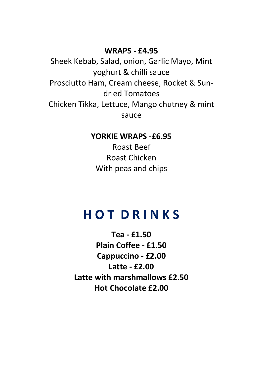### **WRAPS - £4.95**

Sheek Kebab, Salad, onion, Garlic Mayo, Mint yoghurt & chilli sauce Prosciutto Ham, Cream cheese, Rocket & Sundried Tomatoes Chicken Tikka, Lettuce, Mango chutney & mint sauce

### **YORKIE WRAPS -£6.95**

Roast Beef Roast Chicken With peas and chips

## **H O T D R I N K S**

**Tea - £1.50 Plain Coffee - £1.50 Cappuccino - £2.00 Latte - £2.00 Latte with marshmallows £2.50 Hot Chocolate £2.00**